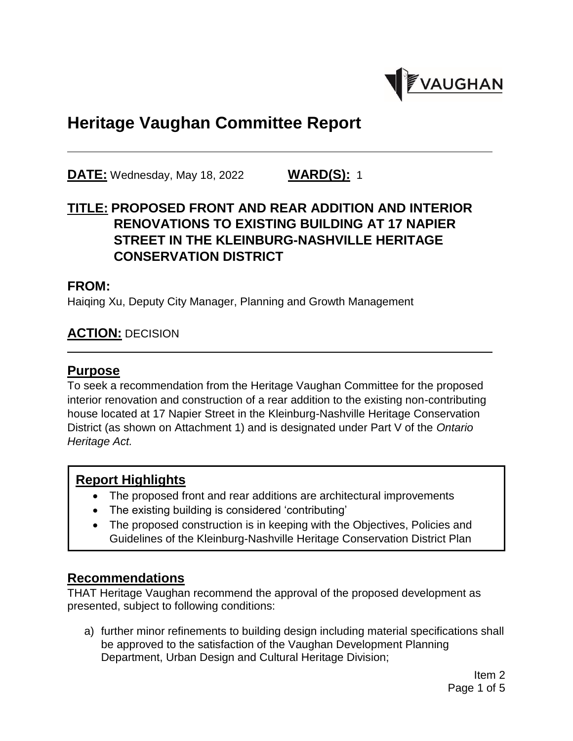

# **Heritage Vaughan Committee Report**

**DATE:** Wednesday, May 18, 2022 **WARD(S):** 1

# **TITLE: PROPOSED FRONT AND REAR ADDITION AND INTERIOR RENOVATIONS TO EXISTING BUILDING AT 17 NAPIER STREET IN THE KLEINBURG-NASHVILLE HERITAGE CONSERVATION DISTRICT**

#### **FROM:**

Haiqing Xu, Deputy City Manager, Planning and Growth Management

### **ACTION:** DECISION

#### **Purpose**

To seek a recommendation from the Heritage Vaughan Committee for the proposed interior renovation and construction of a rear addition to the existing non-contributing house located at 17 Napier Street in the Kleinburg-Nashville Heritage Conservation District (as shown on Attachment 1) and is designated under Part V of the *Ontario Heritage Act.*

#### **Report Highlights**

- The proposed front and rear additions are architectural improvements
- The existing building is considered 'contributing'
- The proposed construction is in keeping with the Objectives, Policies and Guidelines of the Kleinburg-Nashville Heritage Conservation District Plan

# **Recommendations**

THAT Heritage Vaughan recommend the approval of the proposed development as presented, subject to following conditions:

a) further minor refinements to building design including material specifications shall be approved to the satisfaction of the Vaughan Development Planning Department, Urban Design and Cultural Heritage Division;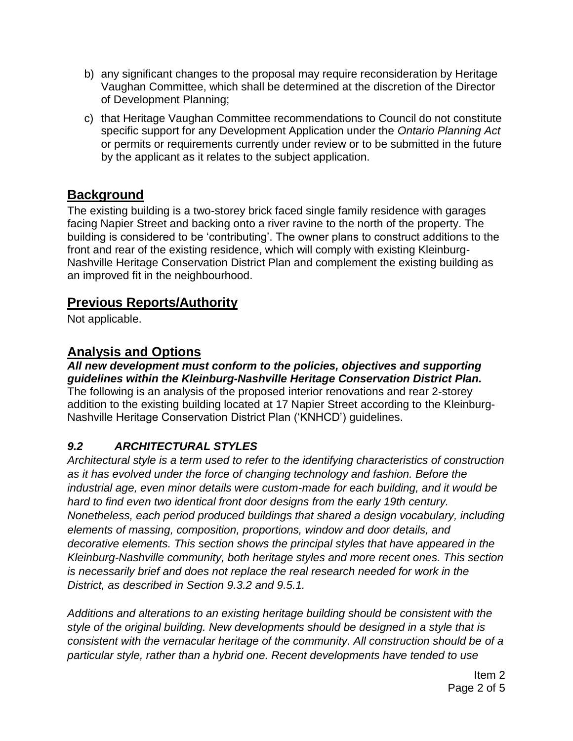- b) any significant changes to the proposal may require reconsideration by Heritage Vaughan Committee, which shall be determined at the discretion of the Director of Development Planning;
- c) that Heritage Vaughan Committee recommendations to Council do not constitute specific support for any Development Application under the *Ontario Planning Act*  or permits or requirements currently under review or to be submitted in the future by the applicant as it relates to the subject application.

# **Background**

The existing building is a two-storey brick faced single family residence with garages facing Napier Street and backing onto a river ravine to the north of the property. The building is considered to be 'contributing'. The owner plans to construct additions to the front and rear of the existing residence, which will comply with existing Kleinburg-Nashville Heritage Conservation District Plan and complement the existing building as an improved fit in the neighbourhood.

# **Previous Reports/Authority**

Not applicable.

# **Analysis and Options**

*All new development must conform to the policies, objectives and supporting guidelines within the Kleinburg-Nashville Heritage Conservation District Plan.* The following is an analysis of the proposed interior renovations and rear 2-storey addition to the existing building located at 17 Napier Street according to the Kleinburg-Nashville Heritage Conservation District Plan ('KNHCD') guidelines.

# *9.2 ARCHITECTURAL STYLES*

*Architectural style is a term used to refer to the identifying characteristics of construction as it has evolved under the force of changing technology and fashion. Before the industrial age, even minor details were custom-made for each building, and it would be hard to find even two identical front door designs from the early 19th century. Nonetheless, each period produced buildings that shared a design vocabulary, including elements of massing, composition, proportions, window and door details, and decorative elements. This section shows the principal styles that have appeared in the Kleinburg-Nashville community, both heritage styles and more recent ones. This section is necessarily brief and does not replace the real research needed for work in the District, as described in Section 9.3.2 and 9.5.1.*

*Additions and alterations to an existing heritage building should be consistent with the style of the original building. New developments should be designed in a style that is consistent with the vernacular heritage of the community. All construction should be of a particular style, rather than a hybrid one. Recent developments have tended to use*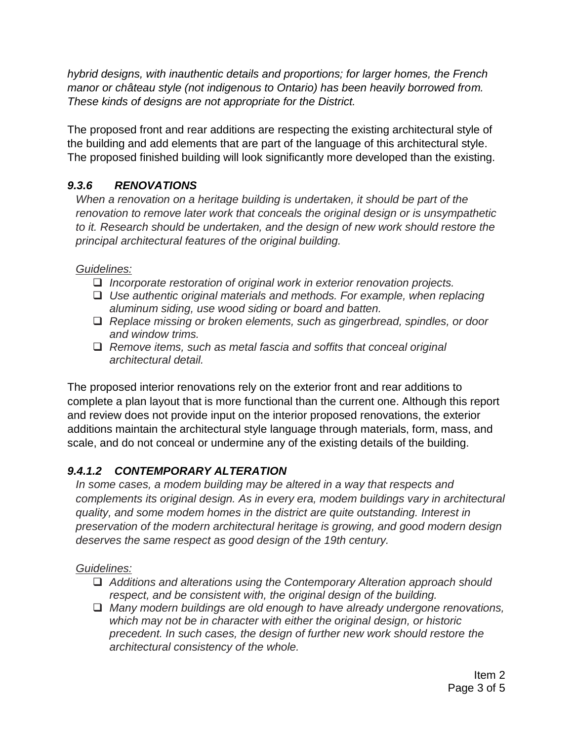*hybrid designs, with inauthentic details and proportions; for larger homes, the French manor or château style (not indigenous to Ontario) has been heavily borrowed from. These kinds of designs are not appropriate for the District.*

The proposed front and rear additions are respecting the existing architectural style of the building and add elements that are part of the language of this architectural style. The proposed finished building will look significantly more developed than the existing.

### *9.3.6 RENOVATIONS*

*When a renovation on a heritage building is undertaken, it should be part of the renovation to remove later work that conceals the original design or is unsympathetic to it. Research should be undertaken, and the design of new work should restore the principal architectural features of the original building.*

#### *Guidelines:*

- *Incorporate restoration of original work in exterior renovation projects.*
- *Use authentic original materials and methods. For example, when replacing aluminum siding, use wood siding or board and batten.*
- *Replace missing or broken elements, such as gingerbread, spindles, or door and window trims.*
- *Remove items, such as metal fascia and soffits that conceal original architectural detail.*

The proposed interior renovations rely on the exterior front and rear additions to complete a plan layout that is more functional than the current one. Although this report and review does not provide input on the interior proposed renovations, the exterior additions maintain the architectural style language through materials, form, mass, and scale, and do not conceal or undermine any of the existing details of the building.

# *9.4.1.2 CONTEMPORARY ALTERATION*

*In some cases, a modem building may be altered in a way that respects and complements its original design. As in every era, modem buildings vary in architectural quality, and some modem homes in the district are quite outstanding. Interest in preservation of the modern architectural heritage is growing, and good modern design deserves the same respect as good design of the 19th century.*

#### *Guidelines:*

- *Additions and alterations using the Contemporary Alteration approach should respect, and be consistent with, the original design of the building.*
- *Many modern buildings are old enough to have already undergone renovations, which may not be in character with either the original design, or historic precedent. In such cases, the design of further new work should restore the architectural consistency of the whole.*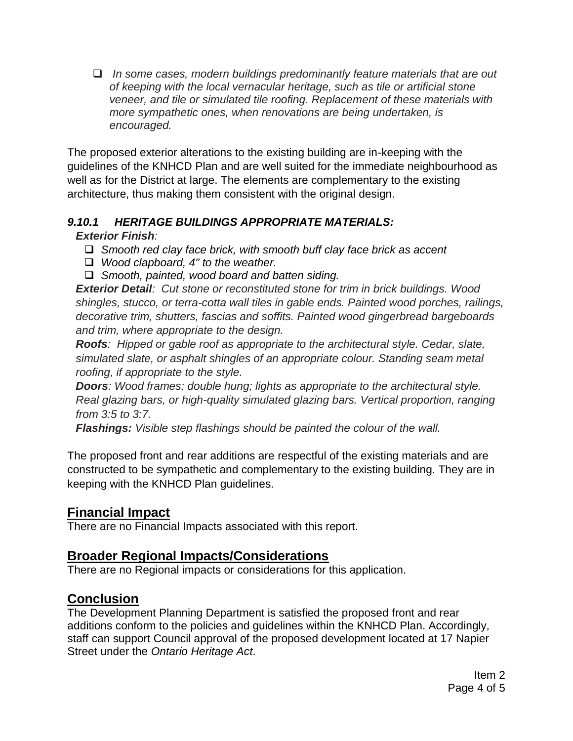*In some cases, modern buildings predominantly feature materials that are out of keeping with the local vernacular heritage, such as tile or artificial stone veneer, and tile or simulated tile roofing. Replacement of these materials with more sympathetic ones, when renovations are being undertaken, is encouraged.* 

The proposed exterior alterations to the existing building are in-keeping with the guidelines of the KNHCD Plan and are well suited for the immediate neighbourhood as well as for the District at large. The elements are complementary to the existing architecture, thus making them consistent with the original design.

#### *9.10.1 HERITAGE BUILDINGS APPROPRIATE MATERIALS:*

#### *Exterior Finish:*

- *Smooth red clay face brick, with smooth buff clay face brick as accent*
- *Wood clapboard, 4" to the weather.*
- *Smooth, painted, wood board and batten siding.*

*Exterior Detail: Cut stone or reconstituted stone for trim in brick buildings. Wood shingles, stucco, or terra-cotta wall tiles in gable ends. Painted wood porches, railings, decorative trim, shutters, fascias and soffits. Painted wood gingerbread bargeboards and trim, where appropriate to the design.* 

*Roofs: Hipped or gable roof as appropriate to the architectural style. Cedar, slate, simulated slate, or asphalt shingles of an appropriate colour. Standing seam metal roofing, if appropriate to the style.* 

*Doors: Wood frames; double hung; lights as appropriate to the architectural style. Real glazing bars, or high-quality simulated glazing bars. Vertical proportion, ranging from 3:5 to 3:7.* 

*Flashings: Visible step flashings should be painted the colour of the wall.*

The proposed front and rear additions are respectful of the existing materials and are constructed to be sympathetic and complementary to the existing building. They are in keeping with the KNHCD Plan guidelines.

# **Financial Impact**

There are no Financial Impacts associated with this report.

# **Broader Regional Impacts/Considerations**

There are no Regional impacts or considerations for this application.

# **Conclusion**

The Development Planning Department is satisfied the proposed front and rear additions conform to the policies and guidelines within the KNHCD Plan. Accordingly, staff can support Council approval of the proposed development located at 17 Napier Street under the *Ontario Heritage Act*.